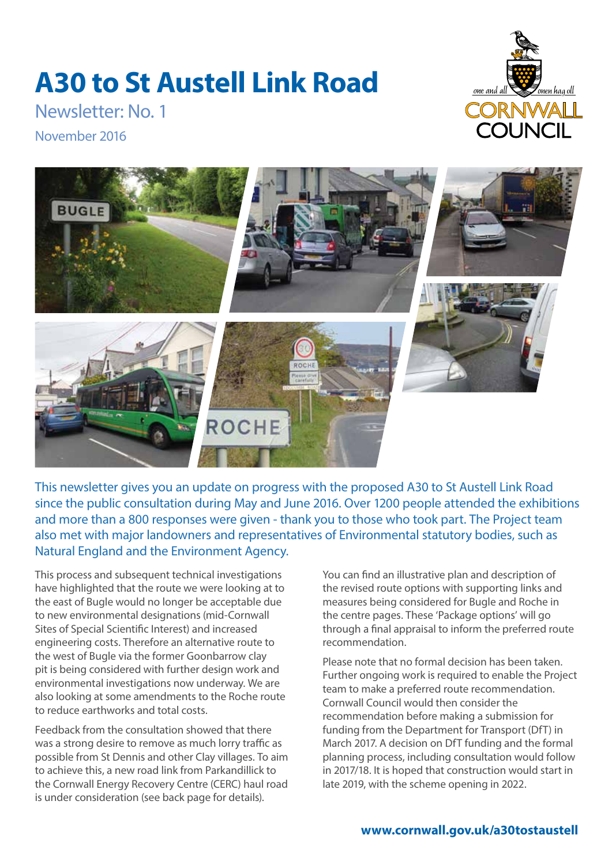## **A30 to St Austell Link Road**



Newsletter: No. 1

November 2016



This newsletter gives you an update on progress with the proposed A30 to St Austell Link Road since the public consultation during May and June 2016. Over 1200 people attended the exhibitions and more than a 800 responses were given - thank you to those who took part. The Project team also met with major landowners and representatives of Environmental statutory bodies, such as Natural England and the Environment Agency.

This process and subsequent technical investigations have highlighted that the route we were looking at to the east of Bugle would no longer be acceptable due to new environmental designations (mid-Cornwall Sites of Special Scientific Interest) and increased engineering costs. Therefore an alternative route to the west of Bugle via the former Goonbarrow clay pit is being considered with further design work and environmental investigations now underway. We are also looking at some amendments to the Roche route to reduce earthworks and total costs.

Feedback from the consultation showed that there was a strong desire to remove as much lorry traffic as possible from St Dennis and other Clay villages. To aim to achieve this, a new road link from Parkandillick to the Cornwall Energy Recovery Centre (CERC) haul road is under consideration (see back page for details).

You can find an illustrative plan and description of the revised route options with supporting links and measures being considered for Bugle and Roche in the centre pages. These 'Package options' will go through a final appraisal to inform the preferred route recommendation.

Please note that no formal decision has been taken. Further ongoing work is required to enable the Project team to make a preferred route recommendation. Cornwall Council would then consider the recommendation before making a submission for funding from the Department for Transport (DfT) in March 2017. A decision on DfT funding and the formal planning process, including consultation would follow in 2017/18. It is hoped that construction would start in late 2019, with the scheme opening in 2022.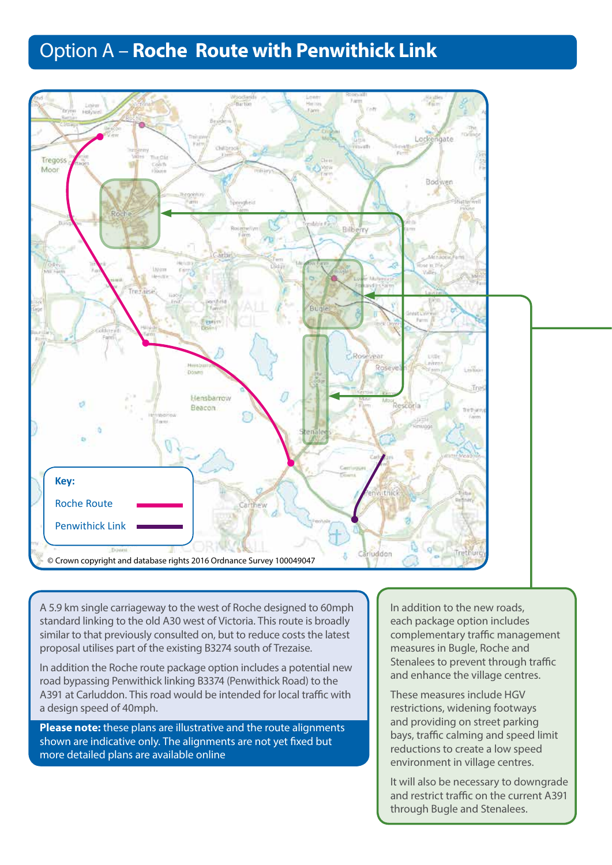## Option A – **Roche Route with Penwithick Link**



A 5.9 km single carriageway to the west of Roche designed to 60mph standard linking to the old A30 west of Victoria. This route is broadly similar to that previously consulted on, but to reduce costs the latest proposal utilises part of the existing B3274 south of Trezaise.

In addition the Roche route package option includes a potential new road bypassing Penwithick linking B3374 (Penwithick Road) to the A391 at Carluddon. This road would be intended for local traffic with a design speed of 40mph.

**Please note:** these plans are illustrative and the route alignments shown are indicative only. The alignments are not yet fixed but more detailed plans are available online

am<br>, Ro<br>:nt In addition to the new roads, each package option includes complementary traffic management measures in Bugle, Roche and Stenalees to prevent through traffic and enhance the village centres.

These measures include HGV restrictions, widening footways and providing on street parking bays, traffic calming and speed limit reductions to create a low speed environment in village centres.

It will also be necessary to downgrade and restrict traffic on the current A391 through Bugle and Stenalees.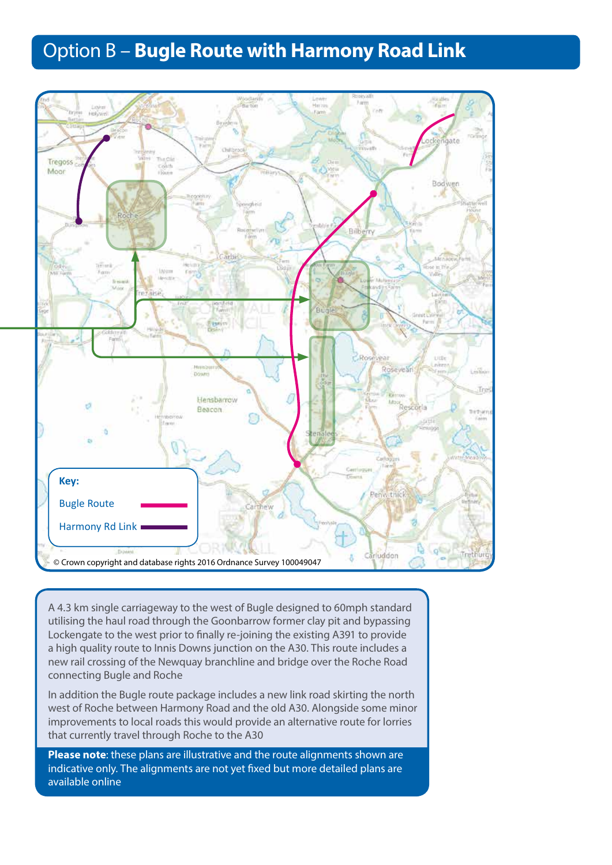## Option B – **Bugle Route with Harmony Road Link**



A 4.3 km single carriageway to the west of Bugle designed to 60mph standard utilising the haul road through the Goonbarrow former clay pit and bypassing Lockengate to the west prior to finally re-joining the existing A391 to provide a high quality route to Innis Downs junction on the A30. This route includes a new rail crossing of the Newquay branchline and bridge over the Roche Road connecting Bugle and Roche

In addition the Bugle route package includes a new link road skirting the north west of Roche between Harmony Road and the old A30. Alongside some minor improvements to local roads this would provide an alternative route for lorries that currently travel through Roche to the A30

**Please note**: these plans are illustrative and the route alignments shown are indicative only. The alignments are not yet fixed but more detailed plans are available online